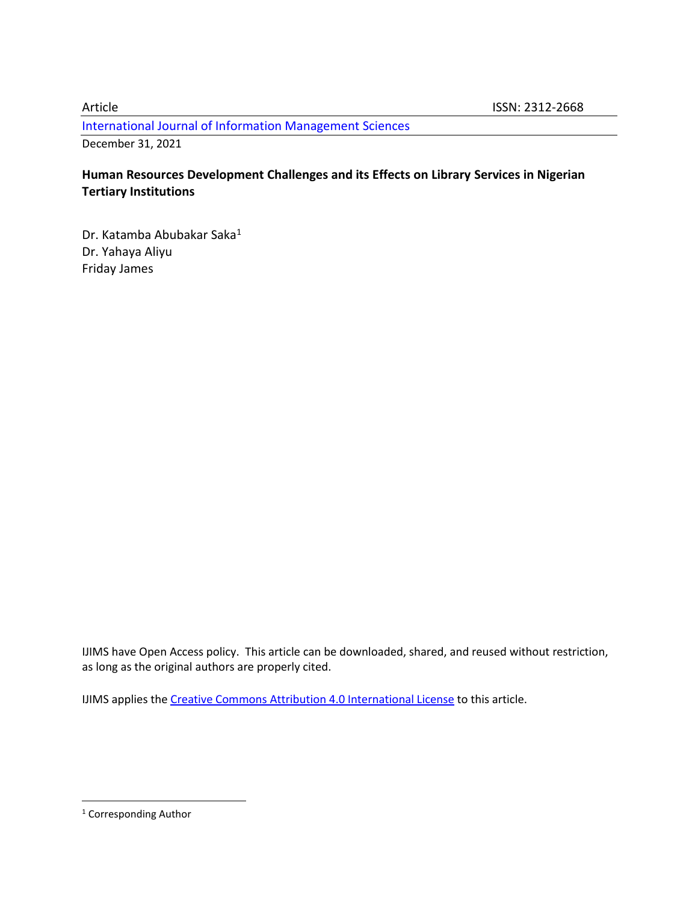[International Journal of Information Management Sciences](http://ijims.org/index.php/IJIMS)

December 31, 2021

## **Human Resources Development Challenges and its Effects on Library Services in Nigerian Tertiary Institutions**

Dr. Katamba Abubakar Saka<sup>1</sup> Dr. Yahaya Aliyu Friday James

IJIMS have Open Access policy. This article can be downloaded, shared, and reused without restriction, as long as the original authors are properly cited.

IJIMS applies th[e Creative Commons Attribution 4.0 International License](https://creativecommons.org/licenses/by/4.0/) to this article.

<sup>&</sup>lt;sup>1</sup> Corresponding Author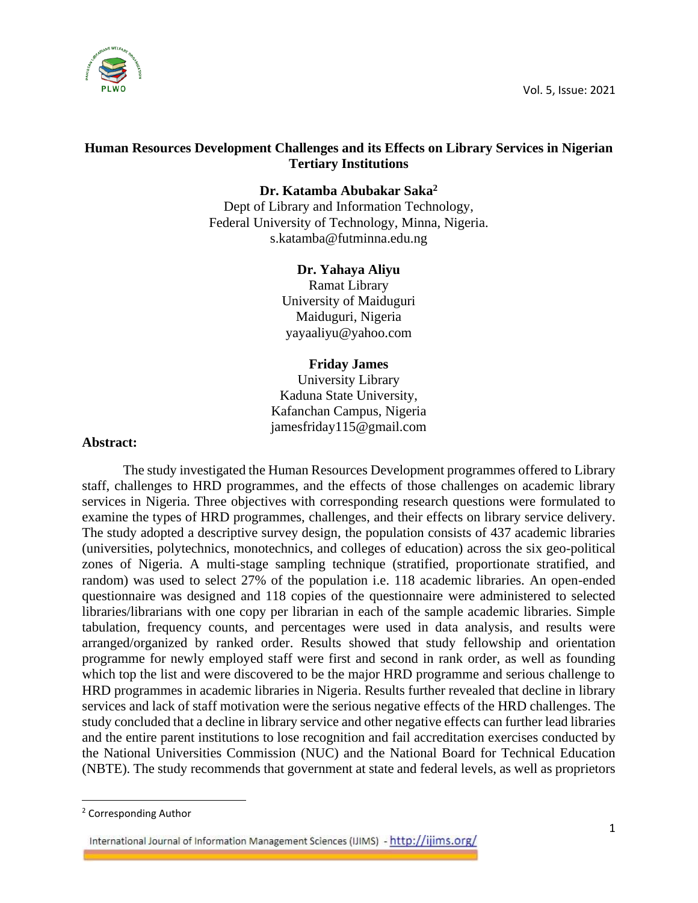

## **Human Resources Development Challenges and its Effects on Library Services in Nigerian Tertiary Institutions**

**Dr. Katamba Abubakar Saka<sup>2</sup>**

Dept of Library and Information Technology, Federal University of Technology, Minna, Nigeria. [s.katamba@futminna.edu.ng](mailto:s.katamba@futminna.edu.ng)

## **Dr. Yahaya Aliyu**

Ramat Library University of Maiduguri Maiduguri, Nigeria yayaaliyu@yahoo.com

### **Friday James**

University Library Kaduna State University, Kafanchan Campus, Nigeria jamesfriday115@gmail.com

### **Abstract:**

The study investigated the Human Resources Development programmes offered to Library staff, challenges to HRD programmes, and the effects of those challenges on academic library services in Nigeria. Three objectives with corresponding research questions were formulated to examine the types of HRD programmes, challenges, and their effects on library service delivery. The study adopted a descriptive survey design, the population consists of 437 academic libraries (universities, polytechnics, monotechnics, and colleges of education) across the six geo-political zones of Nigeria. A multi-stage sampling technique (stratified, proportionate stratified, and random) was used to select 27% of the population i.e. 118 academic libraries. An open-ended questionnaire was designed and 118 copies of the questionnaire were administered to selected libraries/librarians with one copy per librarian in each of the sample academic libraries. Simple tabulation, frequency counts, and percentages were used in data analysis, and results were arranged/organized by ranked order. Results showed that study fellowship and orientation programme for newly employed staff were first and second in rank order, as well as founding which top the list and were discovered to be the major HRD programme and serious challenge to HRD programmes in academic libraries in Nigeria. Results further revealed that decline in library services and lack of staff motivation were the serious negative effects of the HRD challenges. The study concluded that a decline in library service and other negative effects can further lead libraries and the entire parent institutions to lose recognition and fail accreditation exercises conducted by the National Universities Commission (NUC) and the National Board for Technical Education (NBTE). The study recommends that government at state and federal levels, as well as proprietors

<sup>2</sup> Corresponding Author

International Journal of Information Management Sciences (IJIMS) - http://ijims.org/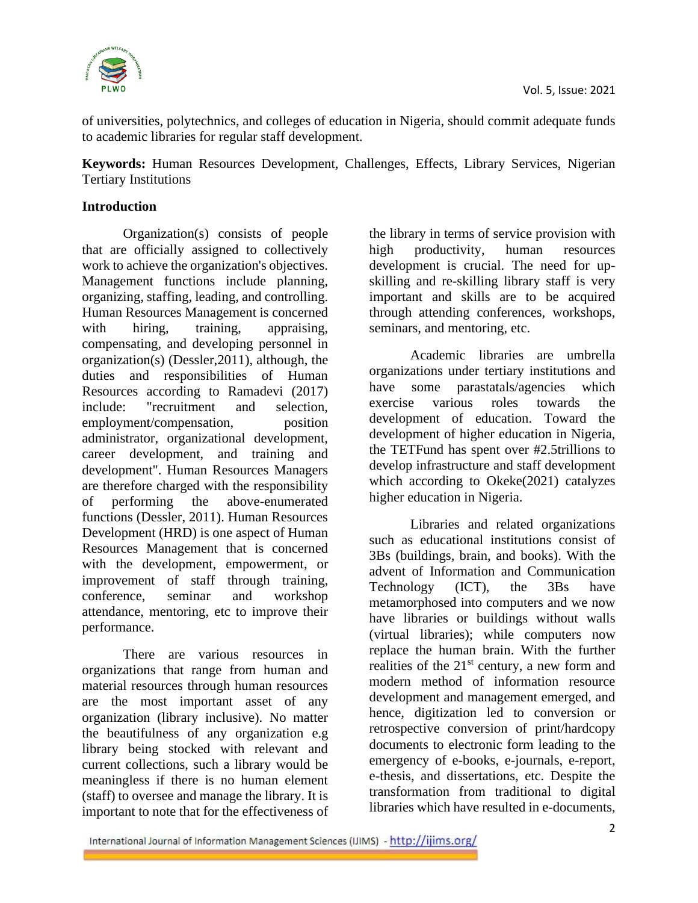

of universities, polytechnics, and colleges of education in Nigeria, should commit adequate funds to academic libraries for regular staff development.

**Keywords:** Human Resources Development, Challenges, Effects, Library Services, Nigerian Tertiary Institutions

## **Introduction**

Organization(s) consists of people that are officially assigned to collectively work to achieve the organization's objectives. Management functions include planning, organizing, staffing, leading, and controlling. Human Resources Management is concerned with hiring, training, appraising, compensating, and developing personnel in organization(s) (Dessler,2011), although, the duties and responsibilities of Human Resources according to Ramadevi (2017) include: "recruitment and selection, employment/compensation, position administrator, organizational development, career development, and training and development". Human Resources Managers are therefore charged with the responsibility of performing the above-enumerated functions (Dessler, 2011). Human Resources Development (HRD) is one aspect of Human Resources Management that is concerned with the development, empowerment, or improvement of staff through training, conference, seminar and workshop attendance, mentoring, etc to improve their performance.

There are various resources in organizations that range from human and material resources through human resources are the most important asset of any organization (library inclusive). No matter the beautifulness of any organization e.g library being stocked with relevant and current collections, such a library would be meaningless if there is no human element (staff) to oversee and manage the library. It is important to note that for the effectiveness of

the library in terms of service provision with high productivity, human resources development is crucial. The need for upskilling and re-skilling library staff is very important and skills are to be acquired through attending conferences, workshops, seminars, and mentoring, etc.

Academic libraries are umbrella organizations under tertiary institutions and have some parastatals/agencies which exercise various roles towards the development of education. Toward the development of higher education in Nigeria, the TETFund has spent over #2.5trillions to develop infrastructure and staff development which according to Okeke(2021) catalyzes higher education in Nigeria.

Libraries and related organizations such as educational institutions consist of 3Bs (buildings, brain, and books). With the advent of Information and Communication Technology (ICT), the 3Bs have metamorphosed into computers and we now have libraries or buildings without walls (virtual libraries); while computers now replace the human brain. With the further realities of the  $21<sup>st</sup>$  century, a new form and modern method of information resource development and management emerged, and hence, digitization led to conversion or retrospective conversion of print/hardcopy documents to electronic form leading to the emergency of e-books, e-journals, e-report, e-thesis, and dissertations, etc. Despite the transformation from traditional to digital libraries which have resulted in e-documents,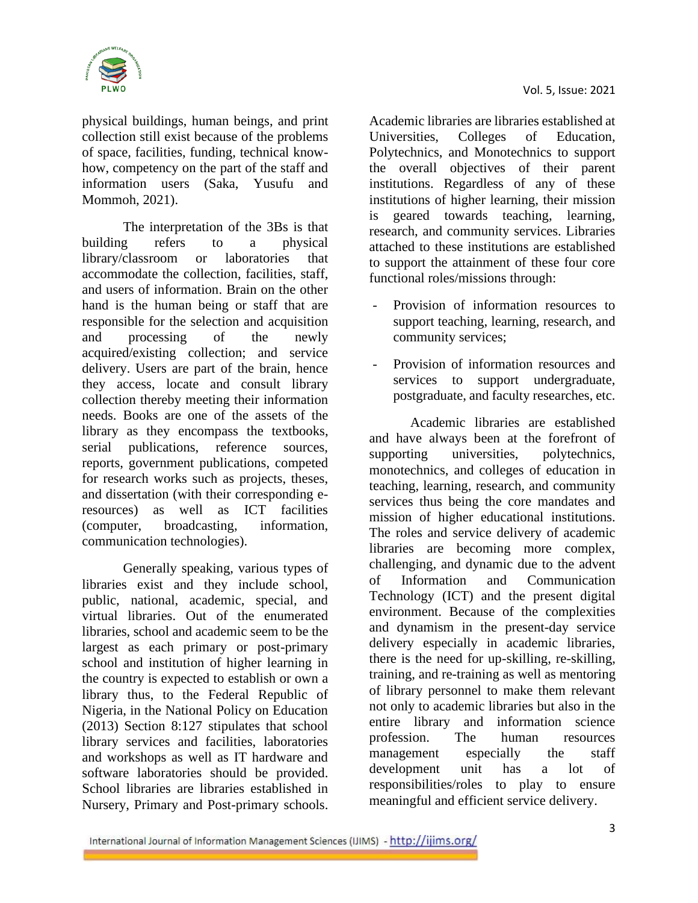

physical buildings, human beings, and print collection still exist because of the problems of space, facilities, funding, technical knowhow, competency on the part of the staff and information users (Saka, Yusufu and Mommoh, 2021).

The interpretation of the 3Bs is that building refers to a physical library/classroom or laboratories that accommodate the collection, facilities, staff, and users of information. Brain on the other hand is the human being or staff that are responsible for the selection and acquisition and processing of the newly acquired/existing collection; and service delivery. Users are part of the brain, hence they access, locate and consult library collection thereby meeting their information needs. Books are one of the assets of the library as they encompass the textbooks, serial publications, reference sources, reports, government publications, competed for research works such as projects, theses, and dissertation (with their corresponding eresources) as well as ICT facilities (computer, broadcasting, information, communication technologies).

Generally speaking, various types of libraries exist and they include school, public, national, academic, special, and virtual libraries. Out of the enumerated libraries, school and academic seem to be the largest as each primary or post-primary school and institution of higher learning in the country is expected to establish or own a library thus, to the Federal Republic of Nigeria, in the National Policy on Education (2013) Section 8:127 stipulates that school library services and facilities, laboratories and workshops as well as IT hardware and software laboratories should be provided. School libraries are libraries established in Nursery, Primary and Post-primary schools.

Academic libraries are libraries established at Universities, Colleges of Education, Polytechnics, and Monotechnics to support the overall objectives of their parent institutions. Regardless of any of these institutions of higher learning, their mission is geared towards teaching, learning, research, and community services. Libraries attached to these institutions are established to support the attainment of these four core functional roles/missions through:

- Provision of information resources to support teaching, learning, research, and community services;
- Provision of information resources and services to support undergraduate, postgraduate, and faculty researches, etc.

Academic libraries are established and have always been at the forefront of supporting universities, polytechnics, monotechnics, and colleges of education in teaching, learning, research, and community services thus being the core mandates and mission of higher educational institutions. The roles and service delivery of academic libraries are becoming more complex, challenging, and dynamic due to the advent of Information and Communication Technology (ICT) and the present digital environment. Because of the complexities and dynamism in the present-day service delivery especially in academic libraries, there is the need for up-skilling, re-skilling, training, and re-training as well as mentoring of library personnel to make them relevant not only to academic libraries but also in the entire library and information science profession. The human resources management especially the staff development unit has a lot of responsibilities/roles to play to ensure meaningful and efficient service delivery.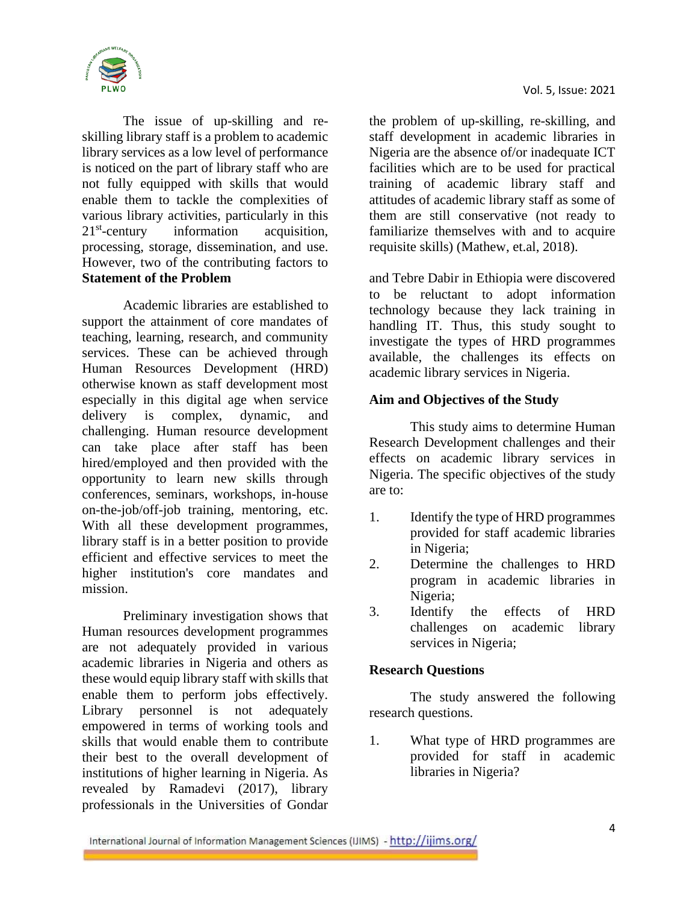

The issue of up-skilling and reskilling library staff is a problem to academic library services as a low level of performance is noticed on the part of library staff who are not fully equipped with skills that would enable them to tackle the complexities of various library activities, particularly in this  $21<sup>st</sup>$ -century information acquisition, processing, storage, dissemination, and use. However, two of the contributing factors to **Statement of the Problem** 

Academic libraries are established to support the attainment of core mandates of teaching, learning, research, and community services. These can be achieved through Human Resources Development (HRD) otherwise known as staff development most especially in this digital age when service delivery is complex, dynamic, and challenging. Human resource development can take place after staff has been hired/employed and then provided with the opportunity to learn new skills through conferences, seminars, workshops, in-house on-the-job/off-job training, mentoring, etc. With all these development programmes, library staff is in a better position to provide efficient and effective services to meet the higher institution's core mandates and mission.

Preliminary investigation shows that Human resources development programmes are not adequately provided in various academic libraries in Nigeria and others as these would equip library staff with skills that enable them to perform jobs effectively. Library personnel is not adequately empowered in terms of working tools and skills that would enable them to contribute their best to the overall development of institutions of higher learning in Nigeria. As revealed by Ramadevi (2017), library professionals in the Universities of Gondar

the problem of up-skilling, re-skilling, and staff development in academic libraries in Nigeria are the absence of/or inadequate ICT facilities which are to be used for practical training of academic library staff and attitudes of academic library staff as some of them are still conservative (not ready to familiarize themselves with and to acquire requisite skills) (Mathew, et.al, 2018).

and Tebre Dabir in Ethiopia were discovered to be reluctant to adopt information technology because they lack training in handling IT. Thus, this study sought to investigate the types of HRD programmes available, the challenges its effects on academic library services in Nigeria.

## **Aim and Objectives of the Study**

This study aims to determine Human Research Development challenges and their effects on academic library services in Nigeria. The specific objectives of the study are to:

- 1. Identify the type of HRD programmes provided for staff academic libraries in Nigeria;
- 2. Determine the challenges to HRD program in academic libraries in Nigeria;
- 3. Identify the effects of HRD challenges on academic library services in Nigeria;

### **Research Questions**

The study answered the following research questions.

1. What type of HRD programmes are provided for staff in academic libraries in Nigeria?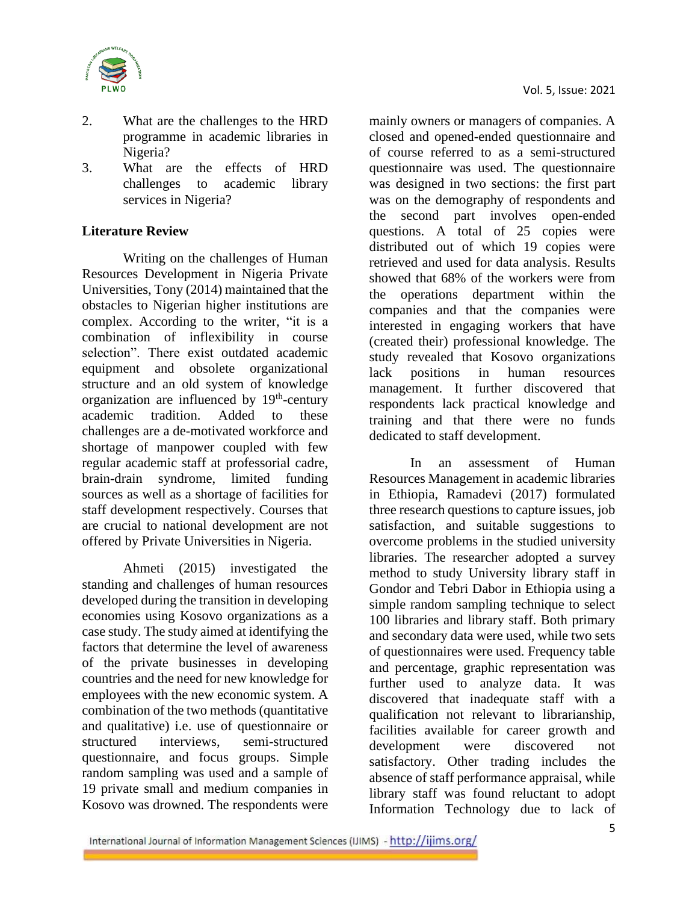

- 2. What are the challenges to the HRD programme in academic libraries in Nigeria?
- 3. What are the effects of HRD challenges to academic library services in Nigeria?

# **Literature Review**

Writing on the challenges of Human Resources Development in Nigeria Private Universities, Tony (2014) maintained that the obstacles to Nigerian higher institutions are complex. According to the writer, "it is a combination of inflexibility in course selection". There exist outdated academic equipment and obsolete organizational structure and an old system of knowledge organization are influenced by 19<sup>th</sup>-century academic tradition. Added to these challenges are a de-motivated workforce and shortage of manpower coupled with few regular academic staff at professorial cadre, brain-drain syndrome, limited funding sources as well as a shortage of facilities for staff development respectively. Courses that are crucial to national development are not offered by Private Universities in Nigeria.

Ahmeti (2015) investigated the standing and challenges of human resources developed during the transition in developing economies using Kosovo organizations as a case study. The study aimed at identifying the factors that determine the level of awareness of the private businesses in developing countries and the need for new knowledge for employees with the new economic system. A combination of the two methods (quantitative and qualitative) i.e. use of questionnaire or structured interviews, semi-structured questionnaire, and focus groups. Simple random sampling was used and a sample of 19 private small and medium companies in Kosovo was drowned. The respondents were

mainly owners or managers of companies. A closed and opened-ended questionnaire and of course referred to as a semi-structured questionnaire was used. The questionnaire was designed in two sections: the first part was on the demography of respondents and the second part involves open-ended questions. A total of 25 copies were distributed out of which 19 copies were retrieved and used for data analysis. Results showed that 68% of the workers were from the operations department within the companies and that the companies were interested in engaging workers that have (created their) professional knowledge. The study revealed that Kosovo organizations lack positions in human resources management. It further discovered that respondents lack practical knowledge and training and that there were no funds dedicated to staff development.

In an assessment of Human Resources Management in academic libraries in Ethiopia, Ramadevi (2017) formulated three research questions to capture issues, job satisfaction, and suitable suggestions to overcome problems in the studied university libraries. The researcher adopted a survey method to study University library staff in Gondor and Tebri Dabor in Ethiopia using a simple random sampling technique to select 100 libraries and library staff. Both primary and secondary data were used, while two sets of questionnaires were used. Frequency table and percentage, graphic representation was further used to analyze data. It was discovered that inadequate staff with a qualification not relevant to librarianship, facilities available for career growth and development were discovered not satisfactory. Other trading includes the absence of staff performance appraisal, while library staff was found reluctant to adopt Information Technology due to lack of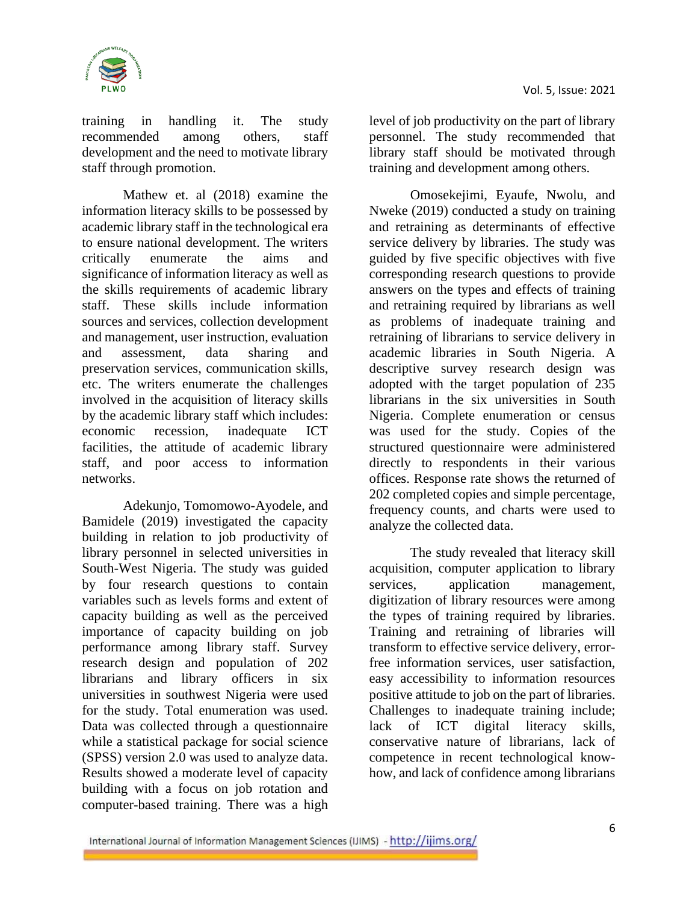



training in handling it. The study recommended among others, staff development and the need to motivate library staff through promotion.

Mathew et. al (2018) examine the information literacy skills to be possessed by academic library staff in the technological era to ensure national development. The writers critically enumerate the aims and significance of information literacy as well as the skills requirements of academic library staff. These skills include information sources and services, collection development and management, user instruction, evaluation and assessment, data sharing and preservation services, communication skills, etc. The writers enumerate the challenges involved in the acquisition of literacy skills by the academic library staff which includes: economic recession, inadequate ICT facilities, the attitude of academic library staff, and poor access to information networks.

Adekunjo, Tomomowo-Ayodele, and Bamidele (2019) investigated the capacity building in relation to job productivity of library personnel in selected universities in South-West Nigeria. The study was guided by four research questions to contain variables such as levels forms and extent of capacity building as well as the perceived importance of capacity building on job performance among library staff. Survey research design and population of 202 librarians and library officers in six universities in southwest Nigeria were used for the study. Total enumeration was used. Data was collected through a questionnaire while a statistical package for social science (SPSS) version 2.0 was used to analyze data. Results showed a moderate level of capacity building with a focus on job rotation and computer-based training. There was a high

level of job productivity on the part of library personnel. The study recommended that library staff should be motivated through training and development among others.

Omosekejimi, Eyaufe, Nwolu, and Nweke (2019) conducted a study on training and retraining as determinants of effective service delivery by libraries. The study was guided by five specific objectives with five corresponding research questions to provide answers on the types and effects of training and retraining required by librarians as well as problems of inadequate training and retraining of librarians to service delivery in academic libraries in South Nigeria. A descriptive survey research design was adopted with the target population of 235 librarians in the six universities in South Nigeria. Complete enumeration or census was used for the study. Copies of the structured questionnaire were administered directly to respondents in their various offices. Response rate shows the returned of 202 completed copies and simple percentage, frequency counts, and charts were used to analyze the collected data.

The study revealed that literacy skill acquisition, computer application to library services, application management, digitization of library resources were among the types of training required by libraries. Training and retraining of libraries will transform to effective service delivery, errorfree information services, user satisfaction, easy accessibility to information resources positive attitude to job on the part of libraries. Challenges to inadequate training include; lack of ICT digital literacy skills, conservative nature of librarians, lack of competence in recent technological knowhow, and lack of confidence among librarians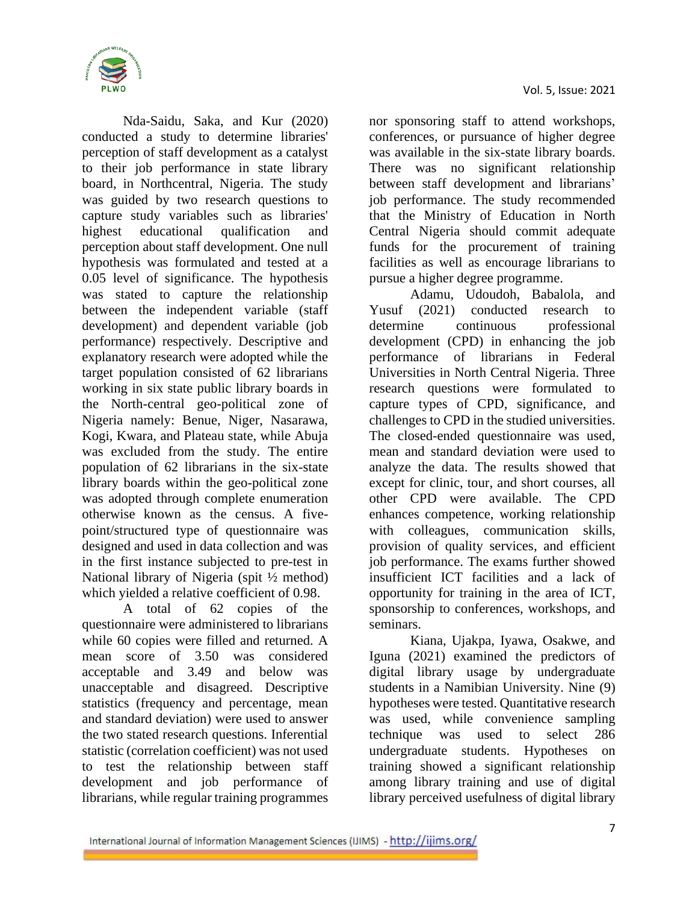

Nda-Saidu, Saka, and Kur (2020) conducted a study to determine libraries' perception of staff development as a catalyst to their job performance in state library board, in Northcentral, Nigeria. The study was guided by two research questions to capture study variables such as libraries' highest educational qualification and perception about staff development. One null hypothesis was formulated and tested at a 0.05 level of significance. The hypothesis was stated to capture the relationship between the independent variable (staff development) and dependent variable (job performance) respectively. Descriptive and explanatory research were adopted while the target population consisted of 62 librarians working in six state public library boards in the North-central geo-political zone of Nigeria namely: Benue, Niger, Nasarawa, Kogi, Kwara, and Plateau state, while Abuja was excluded from the study. The entire population of 62 librarians in the six-state library boards within the geo-political zone was adopted through complete enumeration otherwise known as the census. A fivepoint/structured type of questionnaire was designed and used in data collection and was in the first instance subjected to pre-test in National library of Nigeria (spit ½ method) which yielded a relative coefficient of 0.98.

A total of 62 copies of the questionnaire were administered to librarians while 60 copies were filled and returned. A mean score of 3.50 was considered acceptable and 3.49 and below was unacceptable and disagreed. Descriptive statistics (frequency and percentage, mean and standard deviation) were used to answer the two stated research questions. Inferential statistic (correlation coefficient) was not used to test the relationship between staff development and job performance of librarians, while regular training programmes

nor sponsoring staff to attend workshops, conferences, or pursuance of higher degree was available in the six-state library boards. There was no significant relationship between staff development and librarians' job performance. The study recommended that the Ministry of Education in North Central Nigeria should commit adequate funds for the procurement of training facilities as well as encourage librarians to pursue a higher degree programme.

Adamu, Udoudoh, Babalola, and Yusuf (2021) conducted research to determine continuous professional development (CPD) in enhancing the job performance of librarians in Federal Universities in North Central Nigeria. Three research questions were formulated to capture types of CPD, significance, and challenges to CPD in the studied universities. The closed-ended questionnaire was used, mean and standard deviation were used to analyze the data. The results showed that except for clinic, tour, and short courses, all other CPD were available. The CPD enhances competence, working relationship with colleagues, communication skills, provision of quality services, and efficient job performance. The exams further showed insufficient ICT facilities and a lack of opportunity for training in the area of ICT, sponsorship to conferences, workshops, and seminars.

Kiana, Ujakpa, Iyawa, Osakwe, and Iguna (2021) examined the predictors of digital library usage by undergraduate students in a Namibian University. Nine (9) hypotheses were tested. Quantitative research was used, while convenience sampling technique was used to select 286 undergraduate students. Hypotheses on training showed a significant relationship among library training and use of digital library perceived usefulness of digital library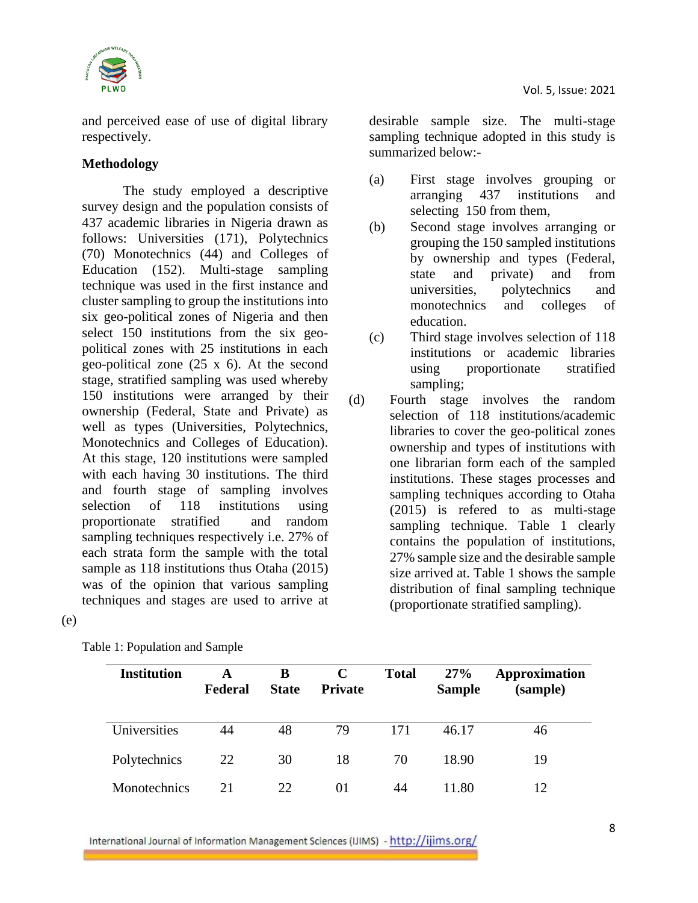

and perceived ease of use of digital library respectively.

# **Methodology**

The study employed a descriptive survey design and the population consists of 437 academic libraries in Nigeria drawn as follows: Universities (171), Polytechnics (70) Monotechnics (44) and Colleges of Education (152). Multi-stage sampling technique was used in the first instance and cluster sampling to group the institutions into six geo-political zones of Nigeria and then select 150 institutions from the six geopolitical zones with 25 institutions in each geo-political zone (25 x 6). At the second stage, stratified sampling was used whereby 150 institutions were arranged by their ownership (Federal, State and Private) as well as types (Universities, Polytechnics, Monotechnics and Colleges of Education). At this stage, 120 institutions were sampled with each having 30 institutions. The third and fourth stage of sampling involves selection of 118 institutions using proportionate stratified and random sampling techniques respectively i.e. 27% of each strata form the sample with the total sample as 118 institutions thus Otaha (2015) was of the opinion that various sampling techniques and stages are used to arrive at

(e)

| <b>Institution</b>  | A<br>Federal | B<br><b>State</b> | C<br><b>Private</b> | <b>Total</b> | 27%<br><b>Sample</b> | Approximation<br>(sample) |
|---------------------|--------------|-------------------|---------------------|--------------|----------------------|---------------------------|
| Universities        | 44           | 48                | 79                  | 171          | 46.17                | 46                        |
| Polytechnics        | 22           | 30                | 18                  | 70           | 18.90                | 19                        |
| <b>Monotechnics</b> | 21           | 22                | 01                  | 44           | 11.80                | 12                        |

Table 1: Population and Sample

desirable sample size. The multi-stage sampling technique adopted in this study is summarized below:-

- (a) First stage involves grouping or arranging 437 institutions and selecting 150 from them,
- (b) Second stage involves arranging or grouping the 150 sampled institutions by ownership and types (Federal, state and private) and from universities, polytechnics and monotechnics and colleges of education.
- (c) Third stage involves selection of 118 institutions or academic libraries using proportionate stratified sampling;
- (d) Fourth stage involves the random selection of 118 institutions/academic libraries to cover the geo-political zones ownership and types of institutions with one librarian form each of the sampled institutions. These stages processes and sampling techniques according to Otaha (2015) is refered to as multi-stage sampling technique. Table 1 clearly contains the population of institutions, 27% sample size and the desirable sample size arrived at. Table 1 shows the sample distribution of final sampling technique (proportionate stratified sampling).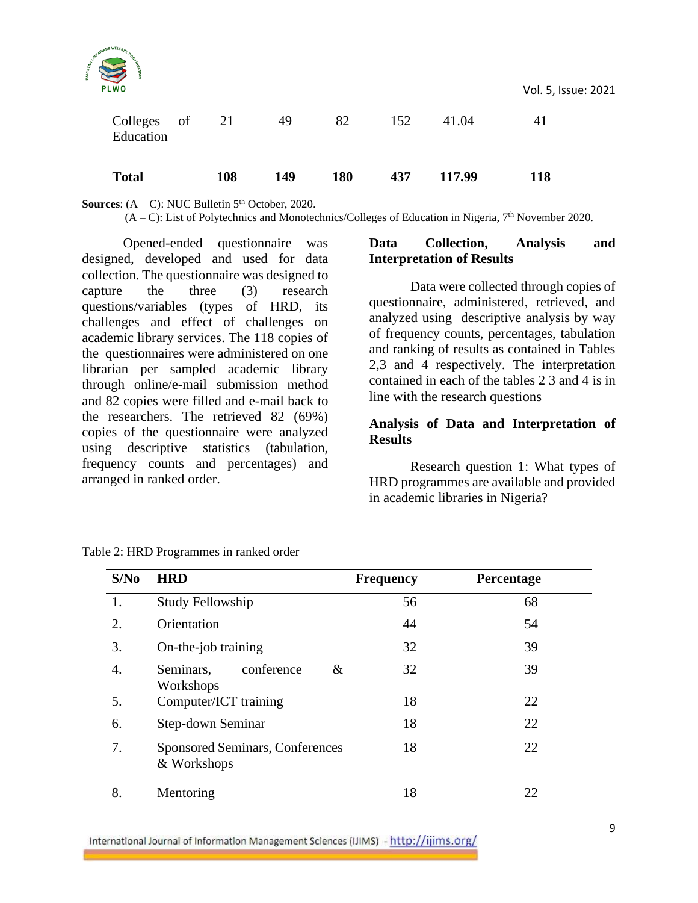| <b>Total</b>                         |    | 108 | 149 | 180 | 437 | 117.99 | 118                       |  |
|--------------------------------------|----|-----|-----|-----|-----|--------|---------------------------|--|
| <b>PLWO</b><br>Colleges<br>Education | of | 21  | 49  | 82  | 152 | 41.04  | Vol. 5, Issue: 2021<br>41 |  |
| <b>PARTICULARE</b>                   |    |     |     |     |     |        |                           |  |

**Sources:**  $(A - C)$ : NUC Bulletin  $5<sup>th</sup>$  October, 2020.

 $(A - C)$ : List of Polytechnics and Monotechnics/Colleges of Education in Nigeria,  $7<sup>th</sup>$  November 2020.

Opened-ended questionnaire was designed, developed and used for data collection. The questionnaire was designed to capture the three (3) research questions/variables (types of HRD, its challenges and effect of challenges on academic library services. The 118 copies of the questionnaires were administered on one librarian per sampled academic library through online/e-mail submission method and 82 copies were filled and e-mail back to the researchers. The retrieved 82 (69%) copies of the questionnaire were analyzed using descriptive statistics (tabulation, frequency counts and percentages) and arranged in ranked order.

#### **Data Collection, Analysis and Interpretation of Results**

Data were collected through copies of questionnaire, administered, retrieved, and analyzed using descriptive analysis by way of frequency counts, percentages, tabulation and ranking of results as contained in Tables 2,3 and 4 respectively. The interpretation contained in each of the tables 2 3 and 4 is in line with the research questions

## **Analysis of Data and Interpretation of Results**

Research question 1: What types of HRD programmes are available and provided in academic libraries in Nigeria?

| S/No | <b>HRD</b>                                            | <b>Frequency</b> | Percentage |
|------|-------------------------------------------------------|------------------|------------|
| 1.   | Study Fellowship                                      | 56               | 68         |
| 2.   | Orientation                                           | 44               | 54         |
| 3.   | On-the-job training                                   | 32               | 39         |
| 4.   | conference<br>&<br>Seminars,<br>Workshops             | 32               | 39         |
| 5.   | Computer/ICT training                                 | 18               | 22         |
| 6.   | Step-down Seminar                                     | 18               | 22         |
| 7.   | <b>Sponsored Seminars, Conferences</b><br>& Workshops | 18               | 22         |
| 8.   | Mentoring                                             | 18               | 22         |

Table 2: HRD Programmes in ranked order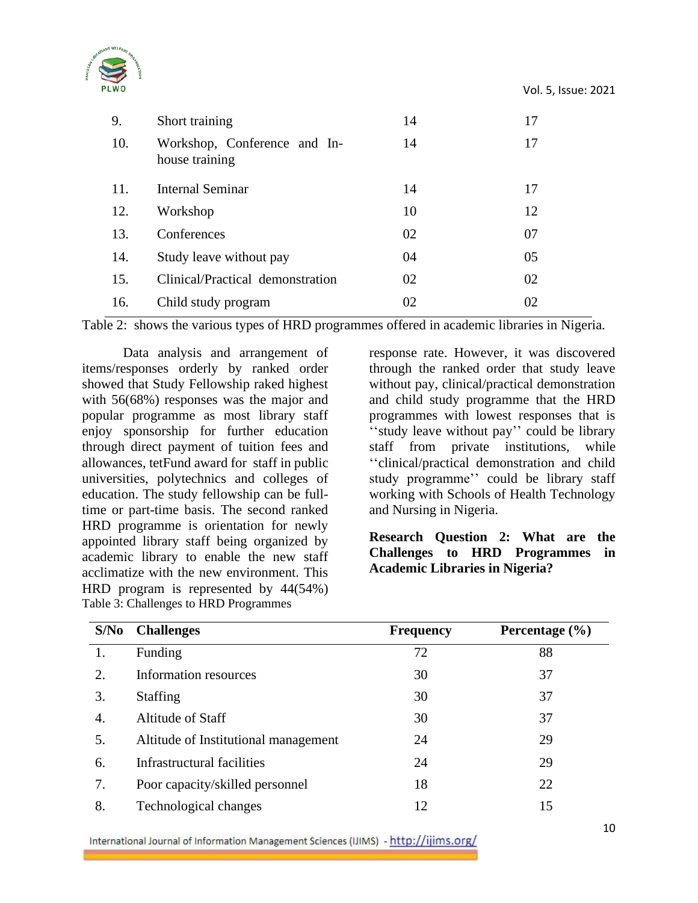



| 9.  | Short training                                 | 14 | 17 |
|-----|------------------------------------------------|----|----|
| 10. | Workshop, Conference and In-<br>house training | 14 | 17 |
| 11. | Internal Seminar                               | 14 | 17 |
| 12. | Workshop                                       | 10 | 12 |
| 13. | Conferences                                    | 02 | 07 |
| 14. | Study leave without pay                        | 04 | 05 |
| 15. | Clinical/Practical demonstration               | 02 | 02 |
| 16. | Child study program                            | 02 | 02 |

Table 2: shows the various types of HRD programmes offered in academic libraries in Nigeria.

Data analysis and arrangement of items/responses orderly by ranked order showed that Study Fellowship raked highest with 56(68%) responses was the major and popular programme as most library staff enjoy sponsorship for further education through direct payment of tuition fees and allowances, tetFund award for staff in public universities, polytechnics and colleges of education. The study fellowship can be fulltime or part-time basis. The second ranked HRD programme is orientation for newly appointed library staff being organized by academic library to enable the new staff acclimatize with the new environment. This HRD program is represented by 44(54%) Table 3: Challenges to HRD Programmes

response rate. However, it was discovered through the ranked order that study leave without pay, clinical/practical demonstration and child study programme that the HRD programmes with lowest responses that is ''study leave without pay'' could be library staff from private institutions, while ''clinical/practical demonstration and child study programme'' could be library staff working with Schools of Health Technology and Nursing in Nigeria.

# **Research Question 2: What are the Challenges to HRD Programmes in Academic Libraries in Nigeria?**

| S/No | <b>Challenges</b>                    | <b>Frequency</b> | Percentage $(\% )$ |
|------|--------------------------------------|------------------|--------------------|
|      | Funding                              | 72               | 88                 |
| 2.   | Information resources                | 30               | 37                 |
| 3.   | <b>Staffing</b>                      | 30               | 37                 |
| 4.   | Altitude of Staff                    | 30               | 37                 |
| 5.   | Altitude of Institutional management | 24               | 29                 |
| 6.   | Infrastructural facilities           | 24               | 29                 |
| 7.   | Poor capacity/skilled personnel      | 18               | 22                 |
| 8.   | Technological changes                | 12               | 15                 |

International Journal of Information Management Sciences (IJIMS) - http://ijims.org/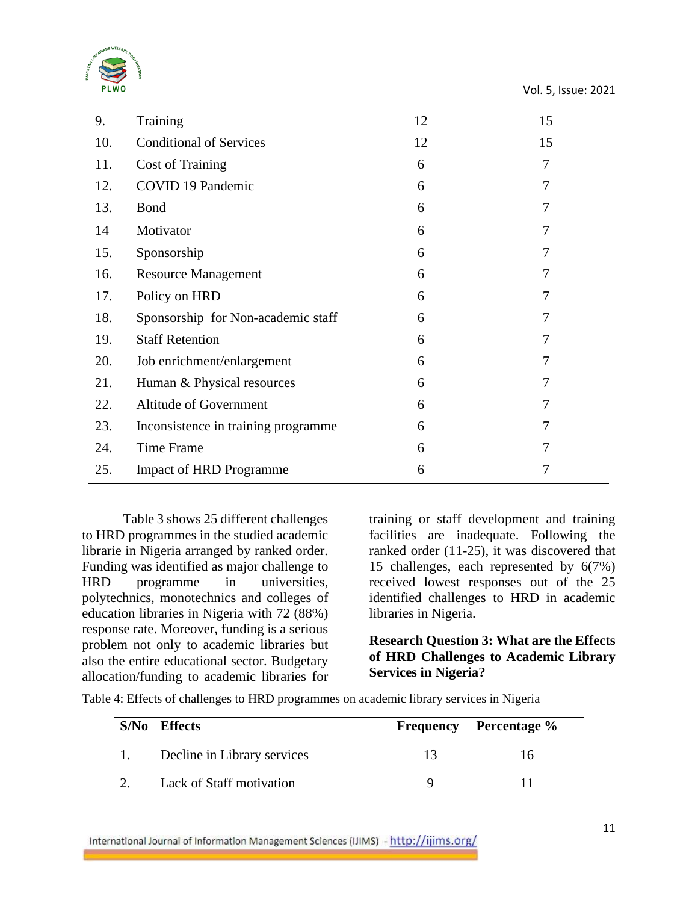

| 9.  | Training                            | 12 | 15             |
|-----|-------------------------------------|----|----------------|
| 10. | <b>Conditional of Services</b>      | 12 | 15             |
| 11. | <b>Cost of Training</b>             | 6  | $\tau$         |
| 12. | COVID 19 Pandemic                   | 6  | 7              |
| 13. | <b>Bond</b>                         | 6  | $\overline{7}$ |
| 14  | Motivator                           | 6  | 7              |
| 15. | Sponsorship                         | 6  | 7              |
| 16. | <b>Resource Management</b>          | 6  | 7              |
| 17. | Policy on HRD                       | 6  | 7              |
| 18. | Sponsorship for Non-academic staff  | 6  | 7              |
| 19. | <b>Staff Retention</b>              | 6  | 7              |
| 20. | Job enrichment/enlargement          | 6  | 7              |
| 21. | Human & Physical resources          | 6  | 7              |
| 22. | Altitude of Government              | 6  | 7              |
| 23. | Inconsistence in training programme | 6  | 7              |
| 24. | Time Frame                          | 6  | 7              |
| 25. | <b>Impact of HRD Programme</b>      | 6  | 7              |
|     |                                     |    |                |

Table 3 shows 25 different challenges to HRD programmes in the studied academic librarie in Nigeria arranged by ranked order. Funding was identified as major challenge to HRD programme in universities, polytechnics, monotechnics and colleges of education libraries in Nigeria with 72 (88%) response rate. Moreover, funding is a serious problem not only to academic libraries but also the entire educational sector. Budgetary allocation/funding to academic libraries for

training or staff development and training facilities are inadequate. Following the ranked order (11-25), it was discovered that 15 challenges, each represented by 6(7%) received lowest responses out of the 25 identified challenges to HRD in academic libraries in Nigeria.

**Research Question 3: What are the Effects of HRD Challenges to Academic Library Services in Nigeria?**

Table 4: Effects of challenges to HRD programmes on academic library services in Nigeria

| S/No Effects                | <b>Frequency</b> Percentage % |
|-----------------------------|-------------------------------|
| Decline in Library services | Iб                            |
| Lack of Staff motivation    |                               |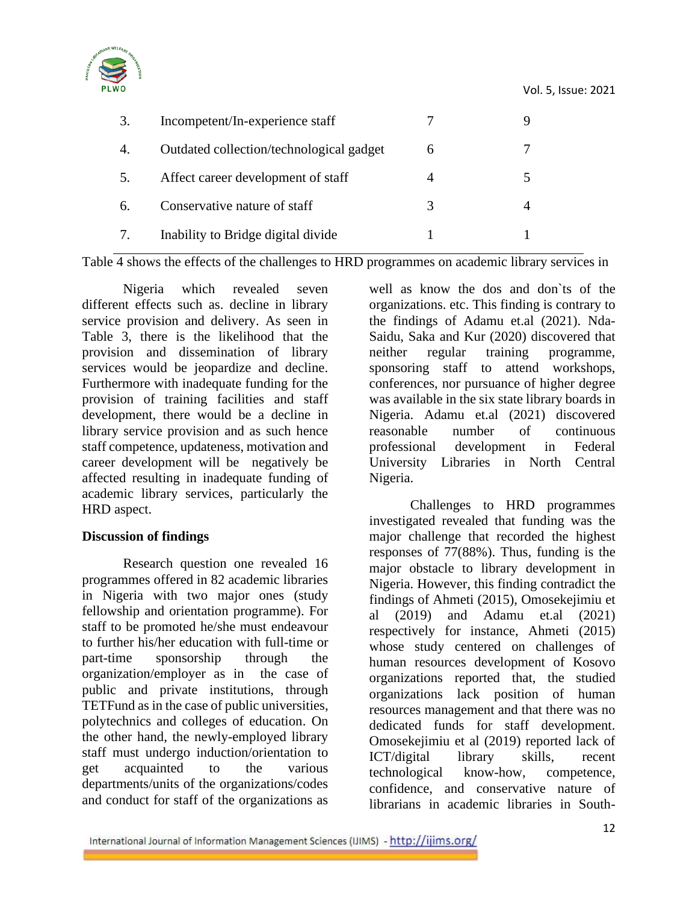

| 3. | Incompetent/In-experience staff          |   |   |
|----|------------------------------------------|---|---|
| 4. | Outdated collection/technological gadget | 6 |   |
| 5. | Affect career development of staff       |   | 5 |
| 6. | Conservative nature of staff             |   |   |
| 7. | Inability to Bridge digital divide       |   |   |
|    |                                          |   |   |

Table 4 shows the effects of the challenges to HRD programmes on academic library services in

Nigeria which revealed seven different effects such as. decline in library service provision and delivery. As seen in Table 3, there is the likelihood that the provision and dissemination of library services would be jeopardize and decline. Furthermore with inadequate funding for the provision of training facilities and staff development, there would be a decline in library service provision and as such hence staff competence, updateness, motivation and career development will be negatively be affected resulting in inadequate funding of academic library services, particularly the HRD aspect.

### **Discussion of findings**

Research question one revealed 16 programmes offered in 82 academic libraries in Nigeria with two major ones (study fellowship and orientation programme). For staff to be promoted he/she must endeavour to further his/her education with full-time or part-time sponsorship through the organization/employer as in the case of public and private institutions, through TETFund as in the case of public universities, polytechnics and colleges of education. On the other hand, the newly-employed library staff must undergo induction/orientation to get acquainted to the various departments/units of the organizations/codes and conduct for staff of the organizations as

well as know the dos and don`ts of the organizations. etc. This finding is contrary to the findings of Adamu et.al (2021). Nda-Saidu, Saka and Kur (2020) discovered that neither regular training programme, sponsoring staff to attend workshops, conferences, nor pursuance of higher degree was available in the six state library boards in Nigeria. Adamu et.al (2021) discovered reasonable number of continuous professional development in Federal University Libraries in North Central Nigeria.

Challenges to HRD programmes investigated revealed that funding was the major challenge that recorded the highest responses of 77(88%). Thus, funding is the major obstacle to library development in Nigeria. However, this finding contradict the findings of Ahmeti (2015), Omosekejimiu et al (2019) and Adamu et.al (2021) respectively for instance, Ahmeti (2015) whose study centered on challenges of human resources development of Kosovo organizations reported that, the studied organizations lack position of human resources management and that there was no dedicated funds for staff development. Omosekejimiu et al (2019) reported lack of ICT/digital library skills, recent technological know-how, competence, confidence, and conservative nature of librarians in academic libraries in South-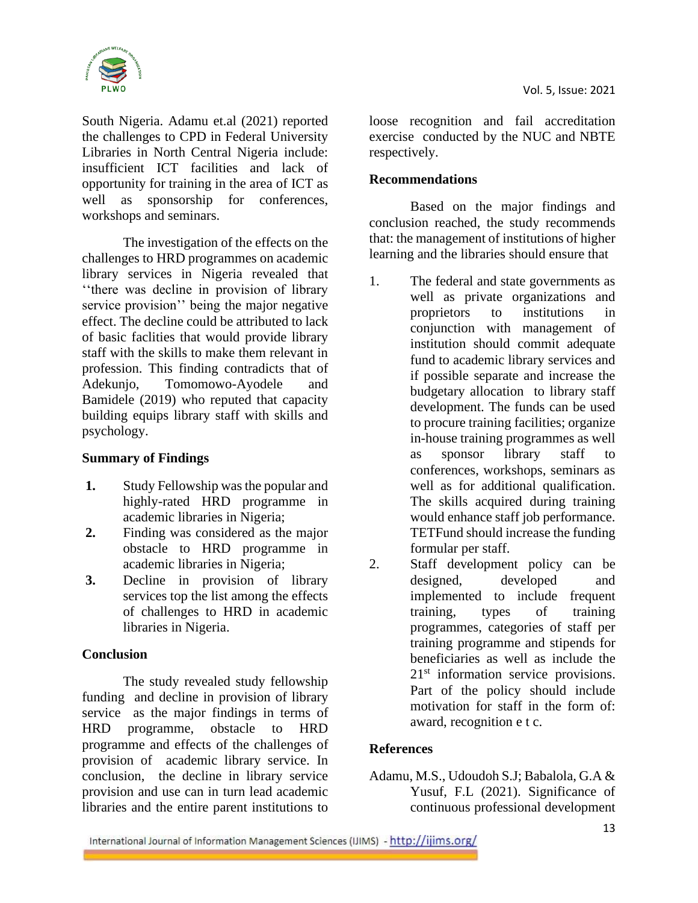

South Nigeria. Adamu et.al (2021) reported the challenges to CPD in Federal University Libraries in North Central Nigeria include: insufficient ICT facilities and lack of opportunity for training in the area of ICT as well as sponsorship for conferences, workshops and seminars.

The investigation of the effects on the challenges to HRD programmes on academic library services in Nigeria revealed that ''there was decline in provision of library service provision'' being the major negative effect. The decline could be attributed to lack of basic faclities that would provide library staff with the skills to make them relevant in profession. This finding contradicts that of Adekunjo, Tomomowo-Ayodele and Bamidele (2019) who reputed that capacity building equips library staff with skills and psychology.

### **Summary of Findings**

- **1.** Study Fellowship was the popular and highly-rated HRD programme in academic libraries in Nigeria;
- **2.** Finding was considered as the major obstacle to HRD programme in academic libraries in Nigeria;
- **3.** Decline in provision of library services top the list among the effects of challenges to HRD in academic libraries in Nigeria.

### **Conclusion**

The study revealed study fellowship funding and decline in provision of library service as the major findings in terms of HRD programme, obstacle to HRD programme and effects of the challenges of provision of academic library service. In conclusion, the decline in library service provision and use can in turn lead academic libraries and the entire parent institutions to

loose recognition and fail accreditation exercise conducted by the NUC and NBTE respectively.

## **Recommendations**

Based on the major findings and conclusion reached, the study recommends that: the management of institutions of higher learning and the libraries should ensure that

- 1. The federal and state governments as well as private organizations and proprietors to institutions in conjunction with management of institution should commit adequate fund to academic library services and if possible separate and increase the budgetary allocation to library staff development. The funds can be used to procure training facilities; organize in-house training programmes as well as sponsor library staff to conferences, workshops, seminars as well as for additional qualification. The skills acquired during training would enhance staff job performance. TETFund should increase the funding formular per staff.
- 2. Staff development policy can be designed, developed and implemented to include frequent training, types of training programmes, categories of staff per training programme and stipends for beneficiaries as well as include the 21<sup>st</sup> information service provisions. Part of the policy should include motivation for staff in the form of: award, recognition e t c.

# **References**

Adamu, M.S., Udoudoh S.J; Babalola, G.A & Yusuf, F.L (2021). Significance of continuous professional development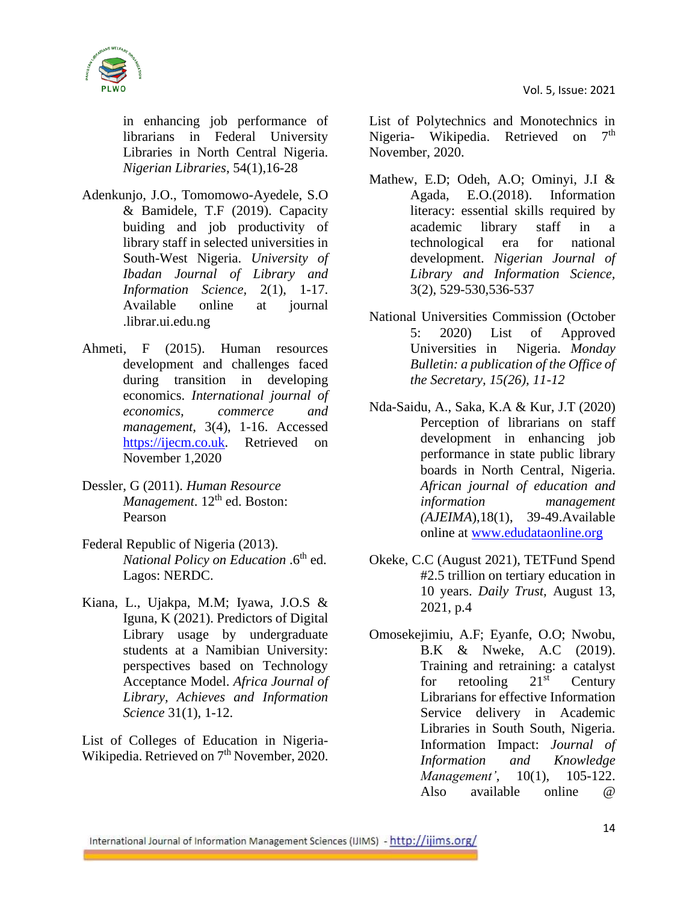

in enhancing job performance of librarians in Federal University Libraries in North Central Nigeria. *Nigerian Libraries*, 54(1),16-28

- Adenkunjo, J.O., Tomomowo-Ayedele, S.O & Bamidele, T.F (2019). Capacity buiding and job productivity of library staff in selected universities in South-West Nigeria. *University of Ibadan Journal of Library and Information Science,* 2(1), 1-17. Available online at journal .librar.ui.edu.ng
- Ahmeti, F (2015). Human resources development and challenges faced during transition in developing economics. *International journal of economics, commerce and management,* 3(4), 1-16. Accessed [https://ijecm.co.uk.](https://ijecm.co.uk/) Retrieved on November 1,2020
- Dessler, G (2011). *Human Resource Management*. 12<sup>th</sup> ed. Boston: Pearson
- Federal Republic of Nigeria (2013). *National Policy on Education* .6<sup>th</sup> ed. Lagos: NERDC.
- Kiana, L., Ujakpa, M.M; Iyawa, J.O.S & Iguna, K (2021). Predictors of Digital Library usage by undergraduate students at a Namibian University: perspectives based on Technology Acceptance Model. *Africa Journal of Library, Achieves and Information Science* 31(1), 1-12.

List of Colleges of Education in Nigeria-Wikipedia. Retrieved on 7<sup>th</sup> November, 2020. List of Polytechnics and Monotechnics in Nigeria- Wikipedia. Retrieved on 7<sup>th</sup> November, 2020.

- Mathew, E.D; Odeh, A.O; Ominyi, J.I & Agada, E.O.(2018). Information literacy: essential skills required by academic library staff in a technological era for national development. *Nigerian Journal of Library and Information Science,* 3(2), 529-530,536-537
- National Universities Commission (October 5: 2020) List of Approved Universities in Nigeria. *Monday Bulletin: a publication of the Office of the Secretary, 15(26), 11-12*
- Nda-Saidu, A., Saka, K.A & Kur, J.T (2020) Perception of librarians on staff development in enhancing job performance in state public library boards in North Central, Nigeria. *African journal of education and information management (AJEIMA*),18(1), 39-49.Available online at [www.edudataonline.org](http://www.edudataonline.org/)
- Okeke, C.C (August 2021), TETFund Spend #2.5 trillion on tertiary education in 10 years. *Daily Trust,* August 13, 2021, p.4
- Omosekejimiu, A.F; Eyanfe, O.O; Nwobu, B.K & Nweke, A.C (2019). Training and retraining: a catalyst for retooling  $21<sup>st</sup>$  Century Librarians for effective Information Service delivery in Academic Libraries in South South, Nigeria. Information Impact: *Journal of Information and Knowledge Management'*, 10(1), 105-122. Also available online @